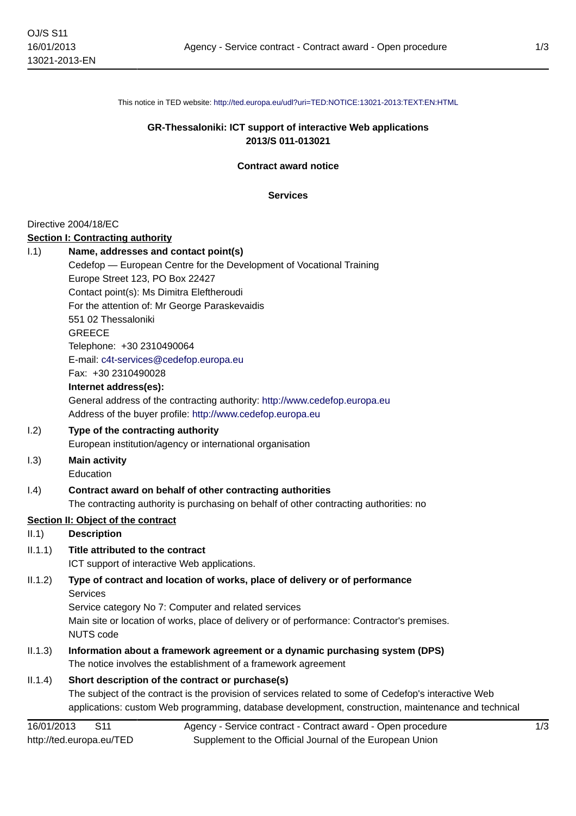This notice in TED website: <http://ted.europa.eu/udl?uri=TED:NOTICE:13021-2013:TEXT:EN:HTML>

## **GR-Thessaloniki: ICT support of interactive Web applications 2013/S 011-013021**

**Contract award notice**

**Services**

#### Directive 2004/18/EC

#### **Section I: Contracting authority**

| 1.1)    | Name, addresses and contact point(s)                                                        |
|---------|---------------------------------------------------------------------------------------------|
|         | Cedefop - European Centre for the Development of Vocational Training                        |
|         | Europe Street 123, PO Box 22427                                                             |
|         | Contact point(s): Ms Dimitra Eleftheroudi                                                   |
|         | For the attention of: Mr George Paraskevaidis                                               |
|         | 551 02 Thessaloniki                                                                         |
|         | <b>GREECE</b>                                                                               |
|         | Telephone: +30 2310490064                                                                   |
|         | E-mail: c4t-services@cedefop.europa.eu                                                      |
|         | Fax: +30 2310490028                                                                         |
|         | Internet address(es):                                                                       |
|         | General address of the contracting authority: http://www.cedefop.europa.eu                  |
|         | Address of the buyer profile: http://www.cedefop.europa.eu                                  |
| 1.2)    | Type of the contracting authority                                                           |
|         | European institution/agency or international organisation                                   |
| 1.3)    | <b>Main activity</b>                                                                        |
|         | Education                                                                                   |
| 1.4)    | Contract award on behalf of other contracting authorities                                   |
|         | The contracting authority is purchasing on behalf of other contracting authorities: no      |
|         | Section II: Object of the contract                                                          |
| II.1)   | <b>Description</b>                                                                          |
| II.1.1) | Title attributed to the contract                                                            |
|         | ICT support of interactive Web applications.                                                |
| II.1.2) | Type of contract and location of works, place of delivery or of performance                 |
|         | Services                                                                                    |
|         | Service category No 7: Computer and related services                                        |
|         | Main site or location of works, place of delivery or of performance: Contractor's premises. |
|         | <b>NUTS code</b>                                                                            |
| II.1.3) | Information about a framework agreement or a dynamic purchasing system (DPS)                |
|         | The notice involves the establishment of a framework agreement                              |

## II.1.4) **Short description of the contract or purchase(s)**

The subject of the contract is the provision of services related to some of Cedefop's interactive Web applications: custom Web programming, database development, construction, maintenance and technical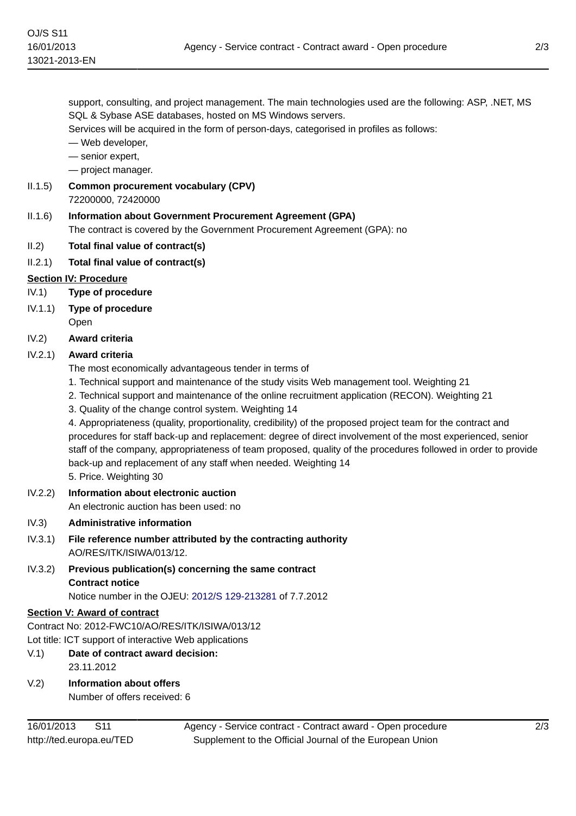support, consulting, and project management. The main technologies used are the following: ASP, .NET, MS SQL & Sybase ASE databases, hosted on MS Windows servers.

Services will be acquired in the form of person-days, categorised in profiles as follows:

— Web developer,

— senior expert,

— project manager.

- II.1.5) **Common procurement vocabulary (CPV)** 72200000, 72420000
- II.1.6) **Information about Government Procurement Agreement (GPA)** The contract is covered by the Government Procurement Agreement (GPA): no
- II.2) **Total final value of contract(s)**
- II.2.1) **Total final value of contract(s)**

#### **Section IV: Procedure**

- IV.1) **Type of procedure**
- IV.1.1) **Type of procedure**
	- Open
- IV.2) **Award criteria**

## IV.2.1) **Award criteria**

The most economically advantageous tender in terms of

- 1. Technical support and maintenance of the study visits Web management tool. Weighting 21
- 2. Technical support and maintenance of the online recruitment application (RECON). Weighting 21
- 3. Quality of the change control system. Weighting 14

4. Appropriateness (quality, proportionality, credibility) of the proposed project team for the contract and procedures for staff back-up and replacement: degree of direct involvement of the most experienced, senior staff of the company, appropriateness of team proposed, quality of the procedures followed in order to provide back-up and replacement of any staff when needed. Weighting 14 5. Price. Weighting 30

IV.2.2) **Information about electronic auction**

- An electronic auction has been used: no
- IV.3) **Administrative information**
- IV.3.1) **File reference number attributed by the contracting authority** AO/RES/ITK/ISIWA/013/12.
- IV.3.2) **Previous publication(s) concerning the same contract Contract notice** Notice number in the OJEU: [2012/S 129-213281](http://ted.europa.eu/udl?uri=TED:NOTICE:213281-2012:TEXT:EN:HTML) of 7.7.2012

# **Section V: Award of contract**

Contract No: 2012-FWC10/AO/RES/ITK/ISIWA/013/12

Lot title: ICT support of interactive Web applications

- V.1) **Date of contract award decision:** 23.11.2012
- V.2) **Information about offers**

Number of offers received: 6